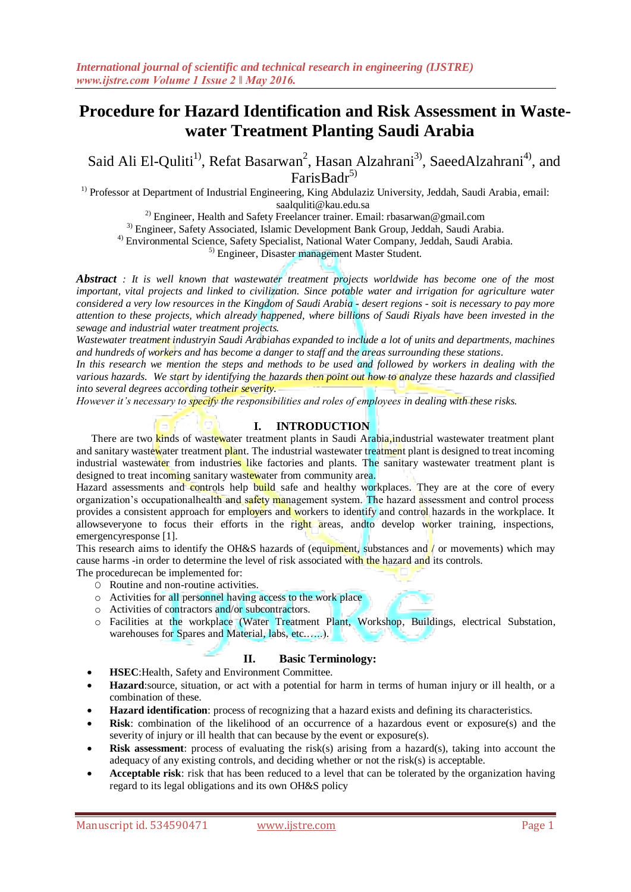# **Procedure for Hazard Identification and Risk Assessment in Wastewater Treatment Planting Saudi Arabia**

Said Ali El-Quliti<sup>1)</sup>, Refat Basarwan<sup>2</sup>, Hasan Alzahrani<sup>3)</sup>, SaeedAlzahrani<sup>4)</sup>, and FarisBadr<sup>5)</sup>

<sup>1)</sup> Professor at Department of Industrial Engineering, King Abdulaziz University, Jeddah, Saudi Arabia, email: saalquliti@kau.edu.sa

<sup>2)</sup> Engineer, Health and Safety Freelancer trainer. Email: rbasarwan@gmail.com

3) Engineer, Safety Associated, Islamic Development Bank Group, Jeddah, Saudi Arabia.

4) Environmental Science, Safety Specialist, National Water Company, Jeddah, Saudi Arabia.

5) Engineer, Disaster management Master Student.

*Abstract : It is well known that wastewater treatment projects worldwide has become one of the most important, vital projects and linked to civilization. Since potable water and irrigation for agriculture water considered a very low resources in the Kingdom of Saudi Arabia - desert regions - soit is necessary to pay more attention to these projects, which already happened, where billions of Saudi Riyals have been invested in the sewage and industrial water treatment projects.*

*Wastewater treatment industryin Saudi Arabiahas expanded to include a lot of units and departments, machines and hundreds of workers and has become a danger to staff and the areas surrounding these stations.* 

*In this research we mention the steps and methods to be used and followed by workers in dealing with the various hazards. We start by identifying the hazards then point out how to analyze these hazards and classified into several degrees according totheir severity.*

*However it's necessary to specify the responsibilities and roles of employees in dealing with these risks.*

### **I. INTRODUCTION**

There are two kinds of wastewater treatment plants in Saudi Arabia, industrial wastewater treatment plant and sanitary wastewater treatment plant. The industrial wastewater treatment plant is designed to treat incoming industrial wastewater from industries like factories and plants. The sanitary wastewater treatment plant is designed to treat incoming sanitary wastewater from community area.

Hazard assessments and controls help build safe and healthy workplaces. They are at the core of every organization's occupationalhealth and safety management system. The hazard assessment and control process provides a consistent approach for employers and workers to identify and control hazards in the workplace. It allowseveryone to focus their efforts in the right areas, andto develop worker training, inspections, emergencyresponse [1].

This research aims to identify the OH&S hazards of (equipment, substances and / or movements) which may cause harms -in order to determine the level of risk associated with the hazard and its controls.

The procedurecan be implemented for:

- O Routine and non-routine activities.
- o Activities for all personnel having access to the work place
- o Activities of contractors and/or subcontractors.
- o Facilities at the workplace (Water Treatment Plant, Workshop, Buildings, electrical Substation, warehouses for Spares and Material, labs, etc......).

### **II. Basic Terminology:**

- **HSEC**:Health, Safety and Environment Committee.
- **Hazard**:source, situation, or act with a potential for harm in terms of human injury or ill health, or a combination of these.
- **Hazard identification**: process of recognizing that a hazard exists and defining its characteristics.
- **Risk**: combination of the likelihood of an occurrence of a hazardous event or exposure(s) and the severity of injury or ill health that can because by the event or exposure(s).
- **Risk assessment**: process of evaluating the risk(s) arising from a hazard(s), taking into account the adequacy of any existing controls, and deciding whether or not the risk(s) is acceptable.
- **Acceptable risk**: risk that has been reduced to a level that can be tolerated by the organization having regard to its legal obligations and its own OH&S policy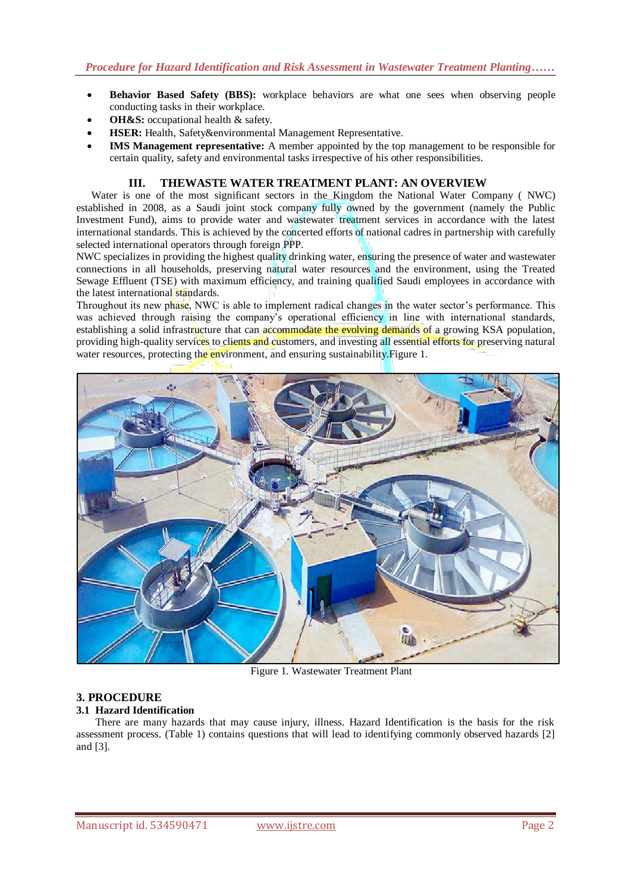- **Behavior Based Safety (BBS):** workplace behaviors are what one sees when observing people conducting tasks in their workplace.
- **OH&S:** occupational health & safety.
- **HSER:** Health, Safety&environmental Management Representative.
- **IMS Management representative:** A member appointed by the top management to be responsible for certain quality, safety and environmental tasks irrespective of his other responsibilities.

## **III. THEWASTE WATER TREATMENT PLANT: AN OVERVIEW**

Water is one of the most significant sectors in the Kingdom the National Water Company ( NWC) established in 2008, as a Saudi joint stock company fully owned by the government (namely the Public Investment Fund), aims to provide water and wastewater treatment services in accordance with the latest international standards. This is achieved by the concerted efforts of national cadres in partnership with carefully selected international operators through foreign PPP.

NWC specializes in providing the highest quality drinking water, ensuring the presence of water and wastewater connections in all households, preserving natural water resources and the environment, using the Treated Sewage Effluent (TSE) with maximum efficiency, and training qualified Saudi employees in accordance with the latest international standards.

Throughout its new phase, NWC is able to implement radical changes in the water sector's performance. This was achieved through raising the company's operational efficiency in line with international standards, establishing a solid infrastructure that can accommodate the evolving demands of a growing KSA population, providing high-quality services to clients and customers, and investing all essential efforts for preserving natural water resources, protecting the environment, and ensuring sustainability. Figure 1.



Figure 1. Wastewater Treatment Plant

# **3. PROCEDURE**

# **3.1 Hazard Identification**

There are many hazards that may cause injury, illness. Hazard Identification is the basis for the risk assessment process. (Table 1) contains questions that will lead to identifying commonly observed hazards [2] and [3].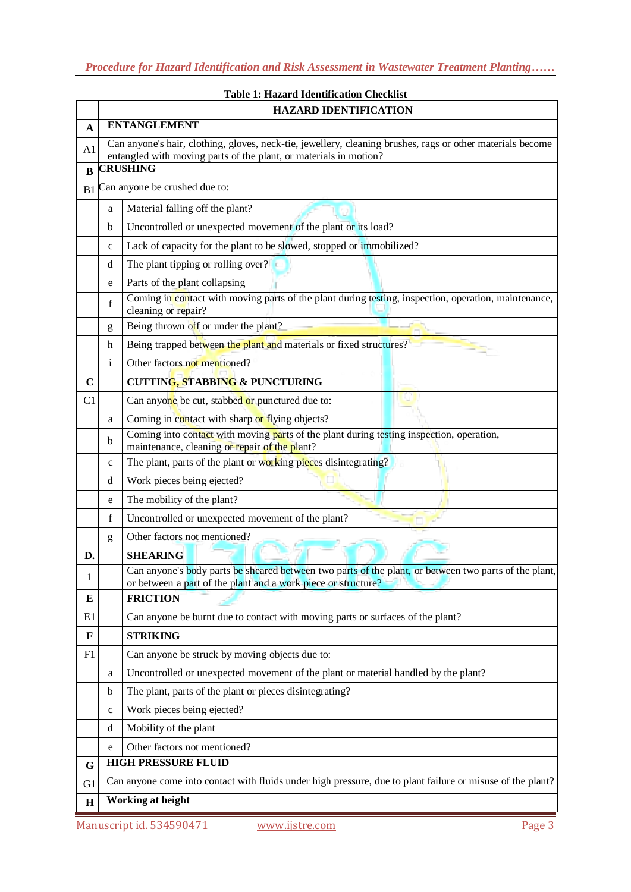|                |                                                                                                                                                                                                    | <b>HAZARD IDENTIFICATION</b>                                                                                                                                           |  |  |  |  |  |
|----------------|----------------------------------------------------------------------------------------------------------------------------------------------------------------------------------------------------|------------------------------------------------------------------------------------------------------------------------------------------------------------------------|--|--|--|--|--|
| A              | <b>ENTANGLEMENT</b>                                                                                                                                                                                |                                                                                                                                                                        |  |  |  |  |  |
| A <sub>1</sub> | Can anyone's hair, clothing, gloves, neck-tie, jewellery, cleaning brushes, rags or other materials become<br>entangled with moving parts of the plant, or materials in motion?<br><b>CRUSHING</b> |                                                                                                                                                                        |  |  |  |  |  |
| B              |                                                                                                                                                                                                    |                                                                                                                                                                        |  |  |  |  |  |
| B1             |                                                                                                                                                                                                    | Can anyone be crushed due to:                                                                                                                                          |  |  |  |  |  |
|                | a                                                                                                                                                                                                  | Material falling off the plant?                                                                                                                                        |  |  |  |  |  |
|                | b                                                                                                                                                                                                  | Uncontrolled or unexpected movement of the plant or its load?                                                                                                          |  |  |  |  |  |
|                | $\mathbf c$                                                                                                                                                                                        | Lack of capacity for the plant to be slowed, stopped or immobilized?                                                                                                   |  |  |  |  |  |
|                | d                                                                                                                                                                                                  | The plant tipping or rolling over?                                                                                                                                     |  |  |  |  |  |
|                | e                                                                                                                                                                                                  | Parts of the plant collapsing                                                                                                                                          |  |  |  |  |  |
|                | f                                                                                                                                                                                                  | Coming in contact with moving parts of the plant during testing, inspection, operation, maintenance,<br>cleaning or repair?                                            |  |  |  |  |  |
|                | g                                                                                                                                                                                                  | Being thrown off or under the plant?                                                                                                                                   |  |  |  |  |  |
|                | h                                                                                                                                                                                                  | Being trapped between the plant and materials or fixed structures?                                                                                                     |  |  |  |  |  |
|                | $\mathbf{i}$                                                                                                                                                                                       | Other factors not mentioned?                                                                                                                                           |  |  |  |  |  |
| $\mathbf C$    |                                                                                                                                                                                                    | <b>CUTTING, STABBING &amp; PUNCTURING</b>                                                                                                                              |  |  |  |  |  |
| C <sub>1</sub> |                                                                                                                                                                                                    | Can anyone be cut, stabbed or punctured due to:                                                                                                                        |  |  |  |  |  |
|                | a                                                                                                                                                                                                  | Coming in contact with sharp or flying objects?                                                                                                                        |  |  |  |  |  |
|                | b                                                                                                                                                                                                  | Coming into contact with moving parts of the plant during testing inspection, operation,<br>maintenance, cleaning or repair of the plant?                              |  |  |  |  |  |
|                | $\mathbf c$                                                                                                                                                                                        | The plant, parts of the plant or working pieces disintegrating?                                                                                                        |  |  |  |  |  |
|                | d                                                                                                                                                                                                  | Work pieces being ejected?                                                                                                                                             |  |  |  |  |  |
|                | e                                                                                                                                                                                                  | The mobility of the plant?                                                                                                                                             |  |  |  |  |  |
|                | f                                                                                                                                                                                                  | Uncontrolled or unexpected movement of the plant?                                                                                                                      |  |  |  |  |  |
|                | g                                                                                                                                                                                                  | Other factors not mentioned?                                                                                                                                           |  |  |  |  |  |
| D.             |                                                                                                                                                                                                    | <b>SHEARING</b>                                                                                                                                                        |  |  |  |  |  |
|                |                                                                                                                                                                                                    | Can anyone's body parts be sheared between two parts of the plant, or between two parts of the plant,<br>or between a part of the plant and a work piece or structure? |  |  |  |  |  |
| E              |                                                                                                                                                                                                    | <b>FRICTION</b>                                                                                                                                                        |  |  |  |  |  |
| E1             |                                                                                                                                                                                                    | Can anyone be burnt due to contact with moving parts or surfaces of the plant?                                                                                         |  |  |  |  |  |
| $\mathbf F$    |                                                                                                                                                                                                    | <b>STRIKING</b>                                                                                                                                                        |  |  |  |  |  |
| F1             |                                                                                                                                                                                                    | Can anyone be struck by moving objects due to:                                                                                                                         |  |  |  |  |  |
|                | a                                                                                                                                                                                                  | Uncontrolled or unexpected movement of the plant or material handled by the plant?                                                                                     |  |  |  |  |  |
|                | b                                                                                                                                                                                                  | The plant, parts of the plant or pieces disintegrating?                                                                                                                |  |  |  |  |  |
|                | $\mathbf c$                                                                                                                                                                                        | Work pieces being ejected?                                                                                                                                             |  |  |  |  |  |
|                | d                                                                                                                                                                                                  | Mobility of the plant                                                                                                                                                  |  |  |  |  |  |
|                | e                                                                                                                                                                                                  | Other factors not mentioned?                                                                                                                                           |  |  |  |  |  |
| G              | <b>HIGH PRESSURE FLUID</b>                                                                                                                                                                         |                                                                                                                                                                        |  |  |  |  |  |
| G1             | Can anyone come into contact with fluids under high pressure, due to plant failure or misuse of the plant?                                                                                         |                                                                                                                                                                        |  |  |  |  |  |
| $\mathbf H$    | <b>Working at height</b>                                                                                                                                                                           |                                                                                                                                                                        |  |  |  |  |  |

# **Table 1: Hazard Identification Checklist**

 $\mathsf{r}$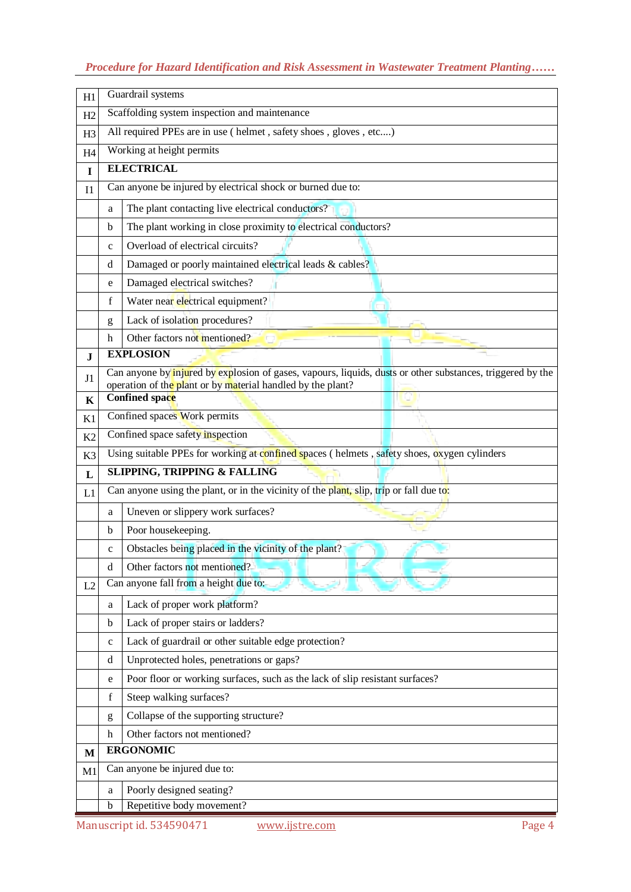# *Procedure for Hazard Identification and Risk Assessment in Wastewater Treatment Planting……*

| H1             | Guardrail systems                                                                            |                                                                                                                                                                           |  |  |  |  |
|----------------|----------------------------------------------------------------------------------------------|---------------------------------------------------------------------------------------------------------------------------------------------------------------------------|--|--|--|--|
| H2             | Scaffolding system inspection and maintenance                                                |                                                                                                                                                                           |  |  |  |  |
| H <sub>3</sub> |                                                                                              | All required PPEs are in use (helmet, safety shoes, gloves, etc)                                                                                                          |  |  |  |  |
| H <sub>4</sub> |                                                                                              | Working at height permits                                                                                                                                                 |  |  |  |  |
| $\mathbf I$    |                                                                                              | <b>ELECTRICAL</b>                                                                                                                                                         |  |  |  |  |
| I <sub>1</sub> |                                                                                              | Can anyone be injured by electrical shock or burned due to:                                                                                                               |  |  |  |  |
|                | a                                                                                            | The plant contacting live electrical conductors?                                                                                                                          |  |  |  |  |
|                | b                                                                                            | The plant working in close proximity to electrical conductors?                                                                                                            |  |  |  |  |
|                | c                                                                                            | Overload of electrical circuits?                                                                                                                                          |  |  |  |  |
|                | d                                                                                            | Damaged or poorly maintained electrical leads & cables?                                                                                                                   |  |  |  |  |
|                | e                                                                                            | Damaged electrical switches?                                                                                                                                              |  |  |  |  |
|                | f                                                                                            | Water near electrical equipment?                                                                                                                                          |  |  |  |  |
|                | g                                                                                            | Lack of isolation procedures?                                                                                                                                             |  |  |  |  |
|                | h                                                                                            | Other factors not mentioned?                                                                                                                                              |  |  |  |  |
| ${\bf J}$      |                                                                                              | <b>EXPLOSION</b>                                                                                                                                                          |  |  |  |  |
| J <sub>1</sub> |                                                                                              | Can anyone by injured by explosion of gases, vapours, liquids, dusts or other substances, triggered by the<br>operation of the plant or by material handled by the plant? |  |  |  |  |
| $\mathbf K$    |                                                                                              | Confined space                                                                                                                                                            |  |  |  |  |
| K1             |                                                                                              | Confined spaces Work permits                                                                                                                                              |  |  |  |  |
| K2             |                                                                                              | Confined space safety inspection                                                                                                                                          |  |  |  |  |
| K3             | Using suitable PPEs for working at confined spaces (helmets, safety shoes, oxygen cylinders  |                                                                                                                                                                           |  |  |  |  |
| L              | <b>SLIPPING, TRIPPING &amp; FALLING</b>                                                      |                                                                                                                                                                           |  |  |  |  |
| L1             | Can anyone using the plant, or in the vicinity of the plant, slip, trip or fall due to:      |                                                                                                                                                                           |  |  |  |  |
|                | Uneven or slippery work surfaces?<br>a                                                       |                                                                                                                                                                           |  |  |  |  |
|                | b                                                                                            | Poor housekeeping.                                                                                                                                                        |  |  |  |  |
|                | $\mathbf c$                                                                                  | Obstacles being placed in the vicinity of the plant?                                                                                                                      |  |  |  |  |
|                | $\mathrm{d}% \left\vert \mathcal{H}\right\vert =\mathrm{d}\left\vert \mathcal{H}\right\vert$ | Other factors not mentioned?                                                                                                                                              |  |  |  |  |
| L2             |                                                                                              | Can anyone fall from a height due to:                                                                                                                                     |  |  |  |  |
|                | a                                                                                            | Lack of proper work platform?                                                                                                                                             |  |  |  |  |
|                | b                                                                                            | Lack of proper stairs or ladders?                                                                                                                                         |  |  |  |  |
|                | c                                                                                            | Lack of guardrail or other suitable edge protection?                                                                                                                      |  |  |  |  |
|                | d                                                                                            | Unprotected holes, penetrations or gaps?                                                                                                                                  |  |  |  |  |
|                | e                                                                                            | Poor floor or working surfaces, such as the lack of slip resistant surfaces?                                                                                              |  |  |  |  |
|                | f                                                                                            | Steep walking surfaces?                                                                                                                                                   |  |  |  |  |
|                | g                                                                                            | Collapse of the supporting structure?                                                                                                                                     |  |  |  |  |
|                | h                                                                                            | Other factors not mentioned?                                                                                                                                              |  |  |  |  |
| $\mathbf M$    | <b>ERGONOMIC</b>                                                                             |                                                                                                                                                                           |  |  |  |  |
| M1             | Can anyone be injured due to:                                                                |                                                                                                                                                                           |  |  |  |  |
|                | Poorly designed seating?<br>a                                                                |                                                                                                                                                                           |  |  |  |  |
|                | b                                                                                            | Repetitive body movement?                                                                                                                                                 |  |  |  |  |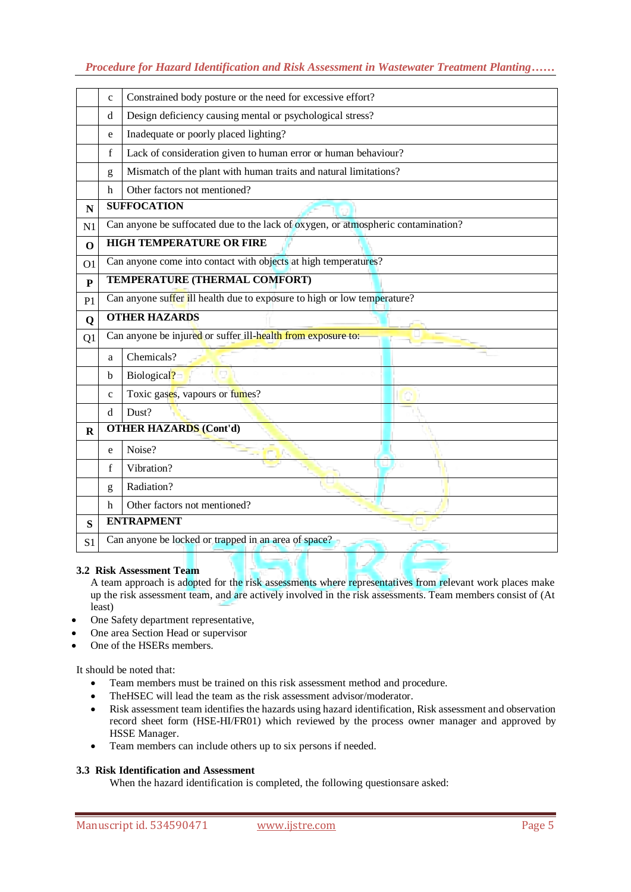# *Procedure for Hazard Identification and Risk Assessment in Wastewater Treatment Planting……*

|                | $\mathbf{C}$         | Constrained body posture or the need for excessive effort?                        |  |  |  |  |
|----------------|----------------------|-----------------------------------------------------------------------------------|--|--|--|--|
|                | d                    | Design deficiency causing mental or psychological stress?                         |  |  |  |  |
|                | e                    | Inadequate or poorly placed lighting?                                             |  |  |  |  |
|                | f                    | Lack of consideration given to human error or human behaviour?                    |  |  |  |  |
|                | g                    | Mismatch of the plant with human traits and natural limitations?                  |  |  |  |  |
|                | h                    | Other factors not mentioned?                                                      |  |  |  |  |
| $\mathbf N$    |                      | <b>SUFFOCATION</b>                                                                |  |  |  |  |
| N <sub>1</sub> |                      | Can anyone be suffocated due to the lack of oxygen, or atmospheric contamination? |  |  |  |  |
| $\mathbf 0$    |                      | <b>HIGH TEMPERATURE OR FIRE</b>                                                   |  |  |  |  |
| O <sub>1</sub> |                      | Can anyone come into contact with objects at high temperatures?                   |  |  |  |  |
| ${\bf P}$      |                      | TEMPERATURE (THERMAL COMFORT)                                                     |  |  |  |  |
| P1             |                      | Can anyone suffer ill health due to exposure to high or low temperature?          |  |  |  |  |
| Q              | <b>OTHER HAZARDS</b> |                                                                                   |  |  |  |  |
| Q1             |                      | Can anyone be injured or suffer ill-health from exposure to:                      |  |  |  |  |
|                | a                    | Chemicals?                                                                        |  |  |  |  |
|                | b                    | Biological?                                                                       |  |  |  |  |
|                | $\mathbf{C}$         | Toxic gases, vapours or fumes?                                                    |  |  |  |  |
|                | d                    | Dust?                                                                             |  |  |  |  |
| $\mathbf R$    |                      | <b>OTHER HAZARDS (Cont'd)</b>                                                     |  |  |  |  |
|                | e                    | Noise?                                                                            |  |  |  |  |
|                | $\mathbf f$          | Vibration?                                                                        |  |  |  |  |
|                | g                    | Radiation?                                                                        |  |  |  |  |
|                | h                    | Other factors not mentioned?                                                      |  |  |  |  |
| S              |                      | <b>ENTRAPMENT</b>                                                                 |  |  |  |  |
| S <sub>1</sub> |                      | Can anyone be locked or trapped in an area of space?                              |  |  |  |  |

### **3.2 Risk Assessment Team**

A team approach is adopted for the risk assessments where representatives from relevant work places make up the risk assessment team, and are actively involved in the risk assessments. Team members consist of (At least)

- One Safety department representative,
- One area Section Head or supervisor
- One of the HSERs members.

It should be noted that:

- Team members must be trained on this risk assessment method and procedure.
- TheHSEC will lead the team as the risk assessment advisor/moderator.
- Risk assessment team identifies the hazards using hazard identification, Risk assessment and observation record sheet form (HSE-HI/FR01) which reviewed by the process owner manager and approved by HSSE Manager.
- Team members can include others up to six persons if needed*.*

# **3.3 Risk Identification and Assessment**

When the hazard identification is completed, the following questionsare asked: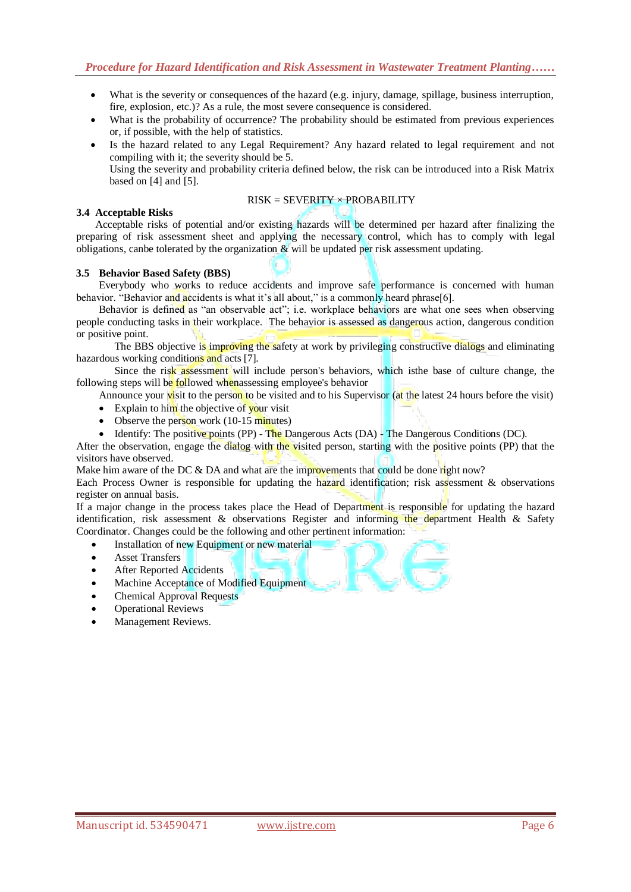- What is the severity or consequences of the hazard (e.g. injury, damage, spillage, business interruption, fire, explosion, etc.)? As a rule, the most severe consequence is considered.
- What is the probability of occurrence? The probability should be estimated from previous experiences or, if possible, with the help of statistics.
- Is the hazard related to any Legal Requirement? Any hazard related to legal requirement and not compiling with it; the severity should be 5.

Using the severity and probability criteria defined below, the risk can be introduced into a Risk Matrix based on [4] and [5].

### $RISK = SEVERITY \times PROBABILITY$

### **3.4 Acceptable Risks**

Acceptable risks of potential and/or existing hazards will be determined per hazard after finalizing the preparing of risk assessment sheet and applying the necessary control, which has to comply with legal obligations, can be tolerated by the organization  $\&$  will be updated per risk assessment updating.

### **3.5 Behavior Based Safety (BBS)**

Everybody who works to reduce accidents and improve safe performance is concerned with human behavior. "Behavior and accidents is what it's all about," is a commonly heard phrase[6].

Behavior is defined as "an observable act"; i.e. workplace behaviors are what one sees when observing people conducting tasks in their workplace. The behavior is assessed as dangerous action, dangerous condition or positive point.

The BBS objective is improving the safety at work by privileging constructive dialogs and eliminating hazardous working conditions and acts [7].

Since the risk assessment will include person's behaviors, which isthe base of culture change, the following steps will be followed whenassessing employee's behavior

Announce your visit to the person to be visited and to his Supervisor (at the latest 24 hours before the visit)

- Explain to him the objective of your visit
- Observe the person work  $(10-15 \text{ minutes})$
- **I**dentify: The positive points (PP) The Dangerous Acts (DA) The Dangerous Conditions (DC).

After the observation, engage the dialog with the visited person, starting with the positive points (PP) that the visitors have observed.

Make him aware of the DC & DA and what are the improvements that could be done right now?

Each Process Owner is responsible for updating the hazard identification; risk assessment & observations register on annual basis.

If a major change in the process takes place the Head of Department is responsible for updating the hazard identification, risk assessment & observations Register and informing the department Health & Safety Coordinator. Changes could be the following and other pertinent information:

- Installation of new Equipment or new material
- Asset Transfers
- After Reported Accidents
- Machine Acceptance of Modified Equipment
- Chemical Approval Requests
- Operational Reviews
- Management Reviews.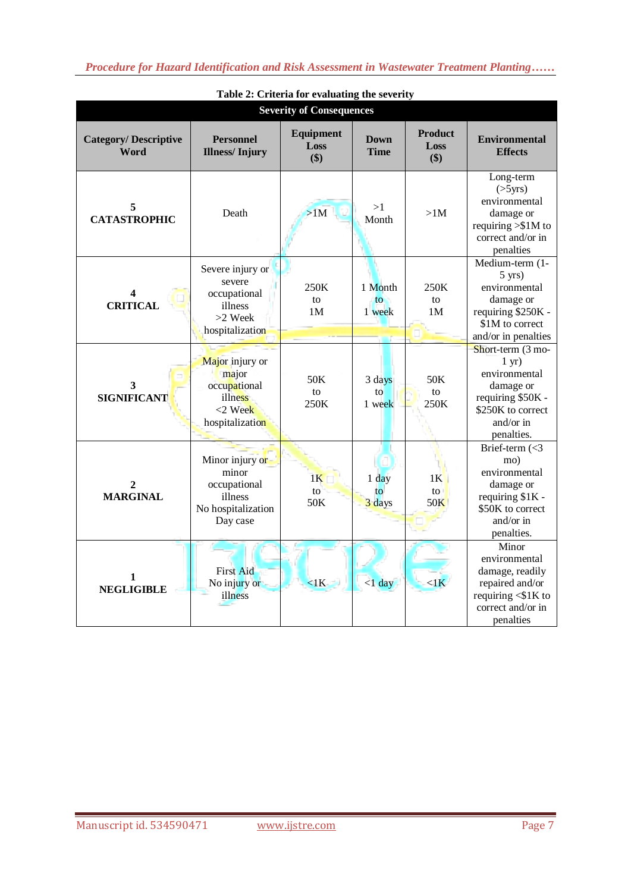| <b>Severity of Consequences</b>            |                                                                                       |                                 |                                    |                               |                                                                                                                                          |
|--------------------------------------------|---------------------------------------------------------------------------------------|---------------------------------|------------------------------------|-------------------------------|------------------------------------------------------------------------------------------------------------------------------------------|
| <b>Category/Descriptive</b><br><b>Word</b> | <b>Personnel</b><br><b>Illness/Injury</b>                                             | <b>Equipment</b><br>Loss<br>\$) | <b>Down</b><br><b>Time</b>         | <b>Product</b><br>Loss<br>\$) | <b>Environmental</b><br><b>Effects</b>                                                                                                   |
| 5<br><b>CATASTROPHIC</b>                   | Death                                                                                 | >1M                             | >1<br>Month                        | >1M                           | Long-term<br>$($ >5yrs $)$<br>environmental<br>damage or<br>requiring $>\$1M$ to<br>correct and/or in<br>penalties                       |
| 4<br><b>CRITICAL</b>                       | Severe injury or<br>severe<br>occupational<br>illness<br>>2 Week<br>hospitalization   | 250K<br>to<br>1M                | 1 Month<br>$\mathsf{to}$<br>1 week | 250K<br>to<br>1 <sub>M</sub>  | Medium-term (1-<br>$5 \text{ yrs}$ )<br>environmental<br>damage or<br>requiring \$250K -<br>\$1M to correct<br>and/or in penalties       |
| 3<br><b>SIGNIFICANT</b>                    | Major injury or<br>major<br>occupational<br>illness<br>$<$ 2 Week<br>hospitalization  | 50K<br>to<br>250K               | 3 days<br>to<br>1 week             | 50K<br>to<br>250K             | Short-term (3 mo-<br>$1 \text{ yr}$ )<br>environmental<br>damage or<br>requiring \$50K -<br>\$250K to correct<br>and/or in<br>penalties. |
| 2<br><b>MARGINAL</b>                       | Minor injury or<br>minor<br>occupational<br>illness<br>No hospitalization<br>Day case | 1 <sup>K</sup><br>to<br>50K     | $1$ day<br>$t_{\Omega}$<br>3 days  | 1 <sup>K</sup><br>to<br>50K   | Brief-term $(<3$<br>mo)<br>environmental<br>damage or<br>requiring \$1K -<br>\$50K to correct<br>and/or in<br>penalties.                 |
| 1<br><b>NEGLIGIBLE</b>                     | First Aid<br>No injury or<br>illness                                                  | <1K                             | $< 1$ day                          | $\langle$ 1 $\vec{k}$         | Minor<br>environmental<br>damage, readily<br>repaired and/or<br>requiring $\leq$ \$1K to<br>correct and/or in<br>penalties               |

**Table 2: Criteria for evaluating the severity**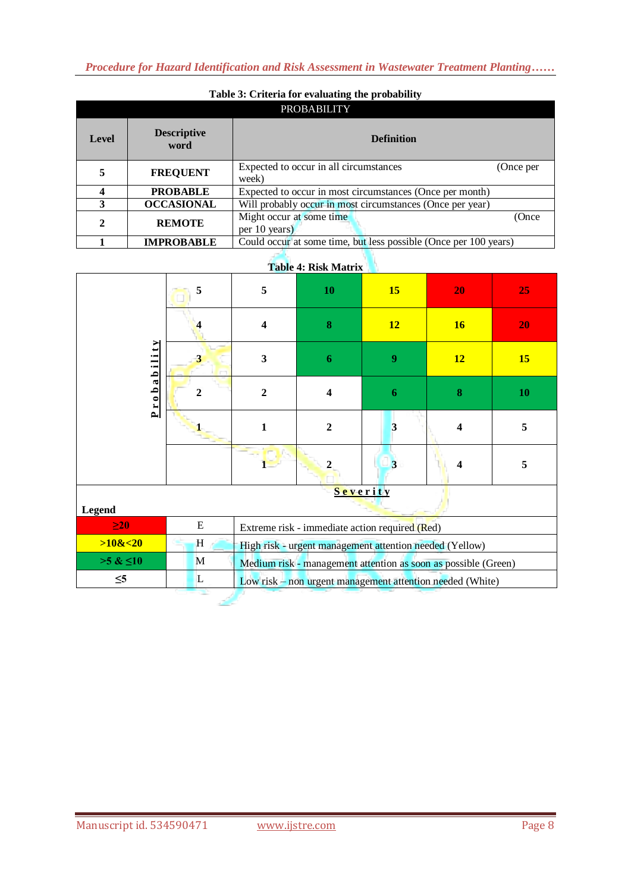*Procedure for Hazard Identification and Risk Assessment in Wastewater Treatment Planting……*

| Table 3: Criteria for evaluating the probability |                            |                                                                  |           |  |  |
|--------------------------------------------------|----------------------------|------------------------------------------------------------------|-----------|--|--|
|                                                  | <b>PROBABILITY</b>         |                                                                  |           |  |  |
| <b>Level</b>                                     | <b>Descriptive</b><br>word | <b>Definition</b>                                                |           |  |  |
|                                                  | <b>FREQUENT</b>            | Expected to occur in all circumstances<br>week)                  | (Once per |  |  |
|                                                  | <b>PROBABLE</b>            | Expected to occur in most circumstances (Once per month)         |           |  |  |
| 3                                                | <b>OCCASIONAL</b>          | Will probably occur in most circumstances (Once per year)        |           |  |  |
| 2                                                | <b>REMOTE</b>              | Might occur at some time<br>per 10 years)                        | (Once     |  |  |
|                                                  | <b>IMPROBABLE</b>          | Could occur at some time, but less possible (Once per 100 years) |           |  |  |

# **Table 3: Criteria for evaluating the probability**

# **Table 4: Risk Matrix**

| Table 4: Risk Matrix |                         |                         |                                                                |                |                         |           |
|----------------------|-------------------------|-------------------------|----------------------------------------------------------------|----------------|-------------------------|-----------|
|                      | 5                       | 5                       | 10                                                             | <b>15</b>      | 20                      | 25        |
|                      | $\overline{\mathbf{4}}$ | $\overline{\mathbf{4}}$ | 8                                                              | 12             | 16                      | 20        |
| ⋗                    | $\overline{\mathbf{3}}$ | $\overline{\mathbf{3}}$ | 6                                                              | 9              | <b>12</b>               | <b>15</b> |
| Probabilit           | $\mathbf{2}$            | $\overline{2}$          | $\overline{\mathbf{4}}$                                        | 6              | $\bf{8}$                | 10        |
|                      |                         | $\mathbf{1}$            | $\overline{2}$                                                 | 3              | $\overline{\mathbf{4}}$ | 5         |
|                      |                         |                         | $\overline{2}$                                                 | $\overline{3}$ | $\overline{\mathbf{4}}$ | 5         |
|                      |                         |                         |                                                                | Severity       |                         |           |
| <b>Legend</b>        |                         |                         |                                                                |                |                         |           |
| $\geq 20$            | E                       |                         | Extreme risk - immediate action required (Red)                 |                |                         |           |
| >10<20               | H                       |                         | High risk - urgent management attention needed (Yellow)        |                |                         |           |
| $>5 \& 10$           | M                       |                         | Medium risk - management attention as soon as possible (Green) |                |                         |           |
| $\leq 5$             | L                       |                         | Low risk - non urgent management attention needed (White)      |                |                         |           |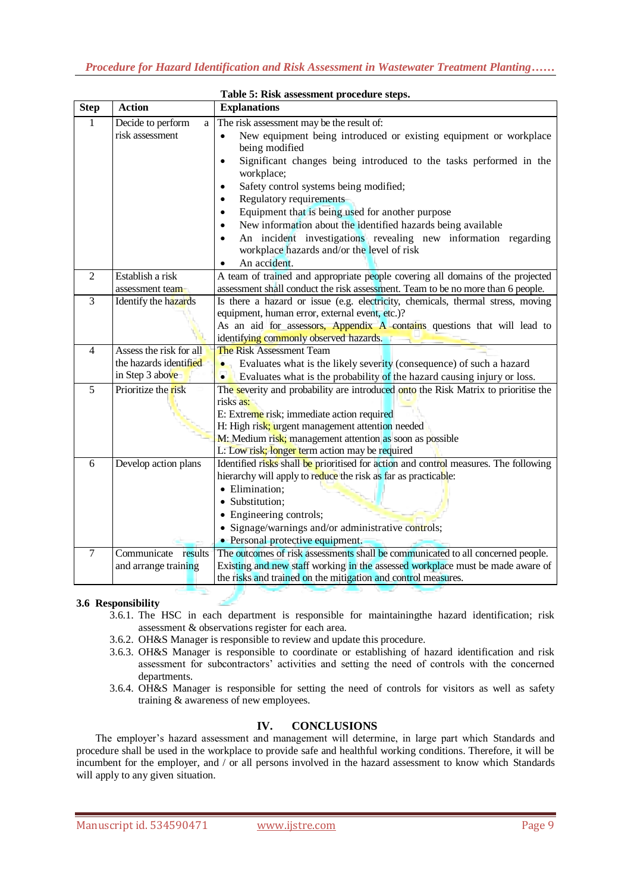|                | Table 5: Risk assessment procedure steps.                            |                                                                                                                                                                                                                                                                                                                                                                                                                                                                                                                                                                                                                            |  |  |  |
|----------------|----------------------------------------------------------------------|----------------------------------------------------------------------------------------------------------------------------------------------------------------------------------------------------------------------------------------------------------------------------------------------------------------------------------------------------------------------------------------------------------------------------------------------------------------------------------------------------------------------------------------------------------------------------------------------------------------------------|--|--|--|
| <b>Step</b>    | <b>Action</b>                                                        | <b>Explanations</b>                                                                                                                                                                                                                                                                                                                                                                                                                                                                                                                                                                                                        |  |  |  |
| 1              | Decide to perform<br>a<br>risk assessment                            | The risk assessment may be the result of:<br>New equipment being introduced or existing equipment or workplace<br>being modified<br>Significant changes being introduced to the tasks performed in the<br>$\bullet$<br>workplace;<br>Safety control systems being modified;<br>$\bullet$<br><b>Regulatory requirements</b><br>Equipment that is being used for another purpose<br>$\bullet$<br>New information about the identified hazards being available<br>$\bullet$<br>An incident investigations revealing new information regarding<br>$\bullet$<br>workplace hazards and/or the level of risk<br>An accident.<br>٠ |  |  |  |
| 2              | Establish a risk<br>assessment team                                  | A team of trained and appropriate people covering all domains of the projected<br>assessment shall conduct the risk assessment. Team to be no more than 6 people.                                                                                                                                                                                                                                                                                                                                                                                                                                                          |  |  |  |
| 3              | Identify the hazards                                                 | Is there a hazard or issue (e.g. electricity, chemicals, thermal stress, moving<br>equipment, human error, external event, etc.)?<br>As an aid for assessors, Appendix A contains questions that will lead to<br>identifying commonly observed hazards.                                                                                                                                                                                                                                                                                                                                                                    |  |  |  |
| $\overline{4}$ | Assess the risk for all<br>the hazards identified<br>in Step 3 above | <b>The Risk Assessment Team</b><br>Evaluates what is the likely severity (consequence) of such a hazard<br>$\bullet$<br>Evaluates what is the probability of the hazard causing injury or loss.<br>$\bullet$                                                                                                                                                                                                                                                                                                                                                                                                               |  |  |  |
| 5              | Prioritize the risk                                                  | The severity and probability are introduced onto the Risk Matrix to prioritise the<br>risks as:<br>E: Extreme risk; immediate action required<br>H: High risk; urgent management attention needed<br>M: Medium risk; management attention as soon as possible<br>L: Low risk; longer term action may be required                                                                                                                                                                                                                                                                                                           |  |  |  |
| 6              | Develop action plans                                                 | Identified risks shall be prioritised for action and control measures. The following<br>hierarchy will apply to reduce the risk as far as practicable:<br>• Elimination;<br>· Substitution:<br>• Engineering controls;<br>• Signage/warnings and/or administrative controls;<br>• Personal protective equipment.                                                                                                                                                                                                                                                                                                           |  |  |  |
| $\tau$         | Communicate results<br>and arrange training                          | The outcomes of risk assessments shall be communicated to all concerned people.<br>Existing and new staff working in the assessed workplace must be made aware of<br>the risks and trained on the mitigation and control measures.                                                                                                                                                                                                                                                                                                                                                                                         |  |  |  |

### **3.6 Responsibility**

- 3.6.1. The HSC in each department is responsible for maintainingthe hazard identification; risk assessment & observations register for each area.
- 3.6.2. OH&S Manager is responsible to review and update this procedure.
- 3.6.3. OH&S Manager is responsible to coordinate or establishing of hazard identification and risk assessment for subcontractors' activities and setting the need of controls with the concerned departments.
- 3.6.4. OH&S Manager is responsible for setting the need of controls for visitors as well as safety training & awareness of new employees*.*

# **IV. CONCLUSIONS**

The employer's hazard assessment and management will determine, in large part which Standards and procedure shall be used in the workplace to provide safe and healthful working conditions. Therefore, it will be incumbent for the employer, and / or all persons involved in the hazard assessment to know which Standards will apply to any given situation.